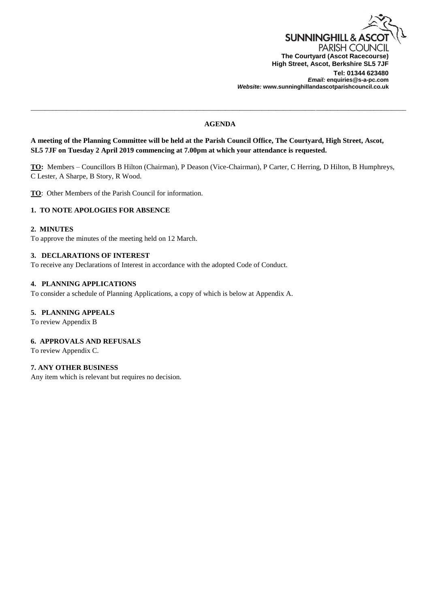

*Email:* **enquiries@s-a-pc.com** *Website:* **www.sunninghillandascotparishcouncil.co.uk**

## **AGENDA**

\_\_\_\_\_\_\_\_\_\_\_\_\_\_\_\_\_\_\_\_\_\_\_\_\_\_\_\_\_\_\_\_\_\_\_\_\_\_\_\_\_\_\_\_\_\_\_\_\_\_\_\_\_\_\_\_\_\_\_\_\_\_\_\_\_\_\_\_\_\_\_\_\_\_\_\_\_\_\_\_\_\_\_\_\_\_\_\_\_\_\_\_\_\_\_\_\_\_\_\_\_\_\_\_

**A meeting of the Planning Committee will be held at the Parish Council Office, The Courtyard, High Street, Ascot, SL5 7JF on Tuesday 2 April 2019 commencing at 7.00pm at which your attendance is requested.**

**TO:** Members – Councillors B Hilton (Chairman), P Deason (Vice-Chairman), P Carter, C Herring, D Hilton, B Humphreys, C Lester, A Sharpe, B Story, R Wood.

**TO**: Other Members of the Parish Council for information.

# **1. TO NOTE APOLOGIES FOR ABSENCE**

### **2. MINUTES**

To approve the minutes of the meeting held on 12 March.

### **3. DECLARATIONS OF INTEREST**

To receive any Declarations of Interest in accordance with the adopted Code of Conduct.

### **4. PLANNING APPLICATIONS**

To consider a schedule of Planning Applications, a copy of which is below at Appendix A.

## **5. PLANNING APPEALS**

To review Appendix B

# **6. APPROVALS AND REFUSALS**

To review Appendix C.

### **7. ANY OTHER BUSINESS**

Any item which is relevant but requires no decision.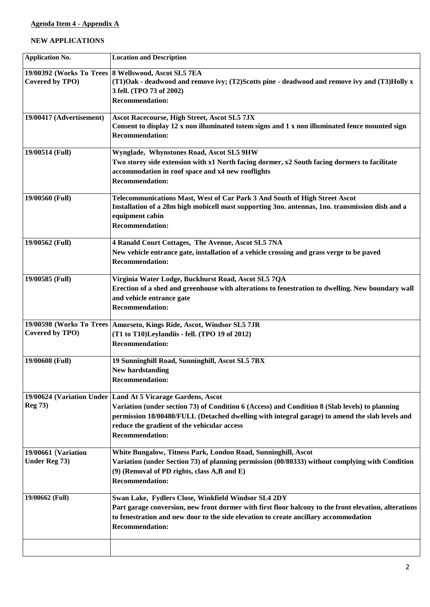# **Agenda Item 4 - Appendix A**

# **NEW APPLICATIONS**

| <b>Application No.</b>                       | <b>Location and Description</b>                                                                                                                                                                                                                                                                                                            |
|----------------------------------------------|--------------------------------------------------------------------------------------------------------------------------------------------------------------------------------------------------------------------------------------------------------------------------------------------------------------------------------------------|
| Covered by TPO)                              | 19/00392 (Works To Trees 8 Wellswood, Ascot SL5 7EA<br>(T1)Oak - deadwood and remove ivy; (T2)Scotts pine - deadwood and remove ivy and (T3)Holly x<br>3 fell. (TPO 73 of 2002)<br><b>Recommendation:</b>                                                                                                                                  |
| 19/00417 (Advertisement)                     | <b>Ascot Racecourse, High Street, Ascot SL5 7JX</b><br>Consent to display 12 x non illuminated totem signs and 1 x non illuminated fence mounted sign<br><b>Recommendation:</b>                                                                                                                                                            |
| 19/00514 (Full)                              | Wynglade, Whynstones Road, Ascot SL5 9HW<br>Two storey side extension with x1 North facing dormer, x2 South facing dormers to facilitate<br>accommodation in roof space and x4 new rooflights<br><b>Recommendation:</b>                                                                                                                    |
| 19/00560 (Full)                              | Telecommunications Mast, West of Car Park 3 And South of High Street Ascot<br>Installation of a 28m high mobicell mast supporting 3no. antennas, 1no. transmission dish and a<br>equipment cabin<br><b>Recommendation:</b>                                                                                                                 |
| 19/00562 (Full)                              | 4 Ranald Court Cottages, The Avenue, Ascot SL5 7NA<br>New vehicle entrance gate, installation of a vehicle crossing and grass verge to be paved<br><b>Recommendation:</b>                                                                                                                                                                  |
| 19/00585 (Full)                              | Virginia Water Lodge, Buckhurst Road, Ascot SL5 7QA<br>Erection of a shed and greenhouse with alterations to fenestration to dwelling. New boundary wall<br>and vehicle entrance gate<br><b>Recommendation:</b>                                                                                                                            |
| 19/00598 (Works To Trees)<br>Covered by TPO) | Amorseto, Kings Ride, Ascot, Windsor SL5 7JR<br>(T1 to T10)Leylandiis - fell. (TPO 19 of 2012)<br><b>Recommendation:</b>                                                                                                                                                                                                                   |
| 19/00608 (Full)                              | 19 Sunninghill Road, Sunninghill, Ascot SL5 7BX<br><b>New hardstanding</b><br><b>Recommendation:</b>                                                                                                                                                                                                                                       |
| <b>Reg 73)</b>                               | 19/00624 (Variation Under   Land At 5 Vicarage Gardens, Ascot<br>Variation (under section 73) of Condition 6 (Access) and Condition 8 (Slab levels) to planning<br>permission 18/00480/FULL (Detached dwelling with integral garage) to amend the slab levels and<br>reduce the gradient of the vehicular access<br><b>Recommendation:</b> |
| 19/00661 (Variation<br>Under Reg 73)         | White Bungalow, Titness Park, London Road, Sunninghill, Ascot<br>Variation (under Section 73) of planning permission (00/80333) without complying with Condition<br>(9) (Removal of PD rights, class A,B and E)<br><b>Recommendation:</b>                                                                                                  |
| 19/00662 (Full)                              | Swan Lake, Fydlers Close, Winkfield Windsor SL4 2DY<br>Part garage conversion, new front dormer with first floor balcony to the front elevation, alterations<br>to fenestration and new door to the side elevation to create ancillary accommodation<br><b>Recommendation:</b>                                                             |
|                                              |                                                                                                                                                                                                                                                                                                                                            |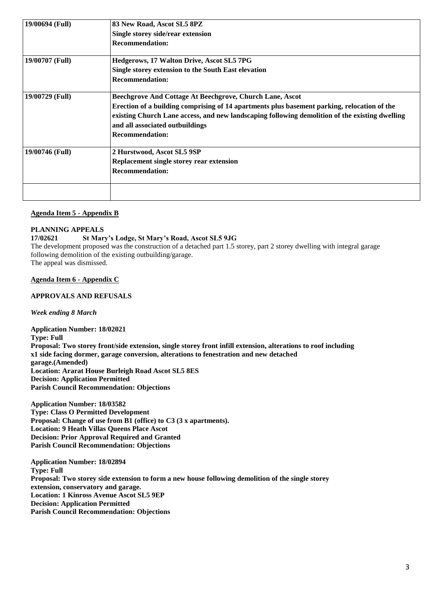| 19/00694 (Full) | 83 New Road, Ascot SL5 8PZ                                                                     |
|-----------------|------------------------------------------------------------------------------------------------|
|                 | Single storey side/rear extension                                                              |
|                 | <b>Recommendation:</b>                                                                         |
| 19/00707 (Full) | Hedgerows, 17 Walton Drive, Ascot SL5 7PG                                                      |
|                 | Single storey extension to the South East elevation                                            |
|                 | <b>Recommendation:</b>                                                                         |
| 19/00729 (Full) | Beechgrove And Cottage At Beechgrove, Church Lane, Ascot                                       |
|                 | Erection of a building comprising of 14 apartments plus basement parking, relocation of the    |
|                 | existing Church Lane access, and new landscaping following demolition of the existing dwelling |
|                 | and all associated outbuildings                                                                |
|                 | <b>Recommendation:</b>                                                                         |
| 19/00746 (Full) | 2 Hurstwood, Ascot SL5 9SP                                                                     |
|                 | Replacement single storey rear extension                                                       |
|                 | <b>Recommendation:</b>                                                                         |
|                 |                                                                                                |

# **Agenda Item 5 - Appendix B**

# **PLANNING APPEALS**

# **17/02621 St Mary's Lodge, St Mary's Road, Ascot SL5 9JG**

The development proposed was the construction of a detached part 1.5 storey, part 2 storey dwelling with integral garage following demolition of the existing outbuilding/garage. The appeal was dismissed.

# **Agenda Item 6 - Appendix C**

# **APPROVALS AND REFUSALS**

*Week ending 8 March*

**Application Number: 18/02021 Type: Full Proposal: Two storey front/side extension, single storey front infill extension, alterations to roof including x1 side facing dormer, garage conversion, alterations to fenestration and new detached garage.(Amended) Location: Ararat House Burleigh Road Ascot SL5 8ES Decision: Application Permitted Parish Council Recommendation: Objections**

**Application Number: 18/03582 Type: Class O Permitted Development Proposal: Change of use from B1 (office) to C3 (3 x apartments). Location: 9 Heath Villas Queens Place Ascot Decision: Prior Approval Required and Granted Parish Council Recommendation: Objections**

**Application Number: 18/02894 Type: Full Proposal: Two storey side extension to form a new house following demolition of the single storey extension, conservatory and garage. Location: 1 Kinross Avenue Ascot SL5 9EP Decision: Application Permitted Parish Council Recommendation: Objections**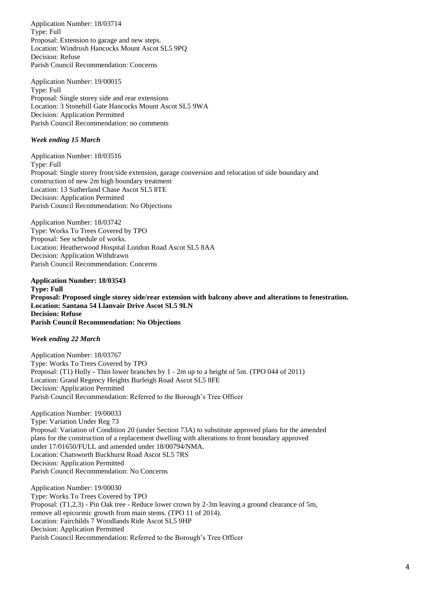Application Number: 18/03714 Type: Full Proposal: Extension to garage and new steps. Location: Windrush Hancocks Mount Ascot SL5 9PQ Decision: Refuse Parish Council Recommendation: Concerns

Application Number: 19/00015 Type: Full Proposal: Single storey side and rear extensions Location: 3 Stonehill Gate Hancocks Mount Ascot SL5 9WA Decision: Application Permitted Parish Council Recommendation: no comments

## *Week ending 15 March*

Application Number: 18/03516 Type: Full Proposal: Single storey front/side extension, garage conversion and relocation of side boundary and construction of new 2m high boundary treatment Location: 13 Sutherland Chase Ascot SL5 8TE Decision: Application Permitted Parish Council Recommendation: No Objections

Application Number: 18/03742 Type: Works To Trees Covered by TPO Proposal: See schedule of works. Location: Heatherwood Hospital London Road Ascot SL5 8AA Decision: Application Withdrawn Parish Council Recommendation: Concerns

**Application Number: 18/03543 Type: Full Proposal: Proposed single storey side/rear extension with balcony above and alterations to fenestration. Location: Santana 54 Llanvair Drive Ascot SL5 9LN Decision: Refuse Parish Council Recommendation: No Objections**

*Week ending 22 March*

Application Number: 18/03767 Type: Works To Trees Covered by TPO Proposal: (T1) Holly - Thin lower branches by 1 - 2m up to a height of 5m. (TPO 044 of 2011) Location: Grand Regency Heights Burleigh Road Ascot SL5 8FE Decision: Application Permitted Parish Council Recommendation: Referred to the Borough's Tree Officer

Application Number: 19/00033 Type: Variation Under Reg 73 Proposal: Variation of Condition 20 (under Section 73A) to substitute approved plans for the amended plans for the construction of a replacement dwelling with alterations to front boundary approved under 17/01650/FULL and amended under 18/00794/NMA. Location: Chatsworth Buckhurst Road Ascot SL5 7RS Decision: Application Permitted Parish Council Recommendation: No Concerns

Application Number: 19/00030 Type: Works To Trees Covered by TPO Proposal: (T1,2,3) - Pin Oak tree - Reduce lower crown by 2-3m leaving a ground clearance of 5m, remove all epicormic growth from main stems. (TPO 11 of 2014). Location: Fairchilds 7 Woodlands Ride Ascot SL5 9HP Decision: Application Permitted Parish Council Recommendation: Referred to the Borough's Tree Officer